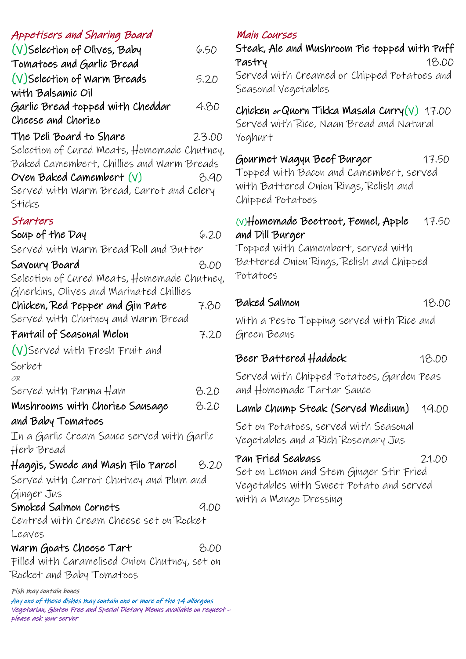## Appetisers and Sharing Board

| $(V)$ Selection of Olives, Baby             | 6.50  |
|---------------------------------------------|-------|
| Tomatoes and Garlic Bread                   |       |
| $(V)$ Selection of Warm Breads              | 5.20  |
| with Balsamic Oil                           |       |
| Garlic Bread topped with Cheddar            | 4.80  |
| Cheese and Chorizo                          |       |
| The Deli Board to Share                     | 23.00 |
| Selection of Cured Meats, Homemade Chutney, |       |

Baked Camembert, Chillies and Warm Breads  $Oven$  Baked Camembert  $(V)$  8.90 Served with Warm Bread, Carrot and Celery Sticks

#### Starters

| כ וטו וושוכ                                              |      |  |
|----------------------------------------------------------|------|--|
| Soup of the Day                                          | 6.20 |  |
| Served with Warm Bread Roll and Butter                   |      |  |
| Savoury Board                                            | B.OD |  |
| Selection of Cured Meats, Homemade Chutney,              |      |  |
| Gherkins, Olives and Marinated Chillies                  |      |  |
| Chicken, Red Pepper and Gin Pate                         | 7.80 |  |
| Served with Chutney and Warm Bread                       |      |  |
| Fantail of Seasonal Melon                                | 7.20 |  |
| (V)Served with Fresh Fruit and                           |      |  |
| Sorbet                                                   |      |  |
| OR                                                       |      |  |
| Served with Parma Ham                                    | 8.20 |  |
| Mushrooms with Chorizo Sausage                           | 8.20 |  |
| and Baby Tomatoes                                        |      |  |
| In a Garlic Cream Sauce served with Garlic<br>Herb Bread |      |  |
| Haggis, Swede and Mash Filo Parcel                       | 8.20 |  |
| Served with Carrot Chutney and Plum and                  |      |  |
| Ginger Jus                                               |      |  |
| Smoked Salmon Cornets                                    | 9.00 |  |
| Centred with Cream Cheese set on Rocket                  |      |  |
| Leaves                                                   |      |  |
| Warm Goats Cheese Tart                                   | B.OD |  |
| Filled with Caramelised Onion Chutney, set on            |      |  |
| Rocket and Baby Tomatoes                                 |      |  |

Fish may contain bones

Any one of these dishes may contain one or more of the 14 allergens Vegetarian, Gluten Free and Special Dietary Menus available on request – please ask your server

### Main Courses

Steak, Ale and Mushroom Pie topped with Puff Pastry 18.00 Served with Creamed or Chipped Potatoes and Seasonal Vegetables

## Chicken or Quorn Tikka Masala Curry $(V)$  17.00

Served with Rice, Naan Bread and Natural Yoghurt

## Gourmet Wagyu Beef Burger 17.50

Topped with Bacon and Camembert, served with Battered Onion Rings, Relish and Chipped Potatoes

## (V)Homemade Beetroot, Fennel, Apple 17.50 and Dill Burger

Topped with Camembert, served with Battered Onion Rings, Relish and Chipped Potatoes

### Baked Salmon 18.00

With a Pesto Topping served with Rice and Green Beans

# Beer Battered Haddock 18.00

Served with Chipped Potatoes, Garden Peas and Homemade Tartar Sauce

## Lamb Chump Steak (Served Medium) 19.00

Set on Potatoes, served with Seasonal Vegetables and a Rich Rosemary Jus

## Pan Fried Seabass 21.00

Set on Lemon and Stem Ginger Stir Fried Vegetables with Sweet Potato and served with a Mango Dressing